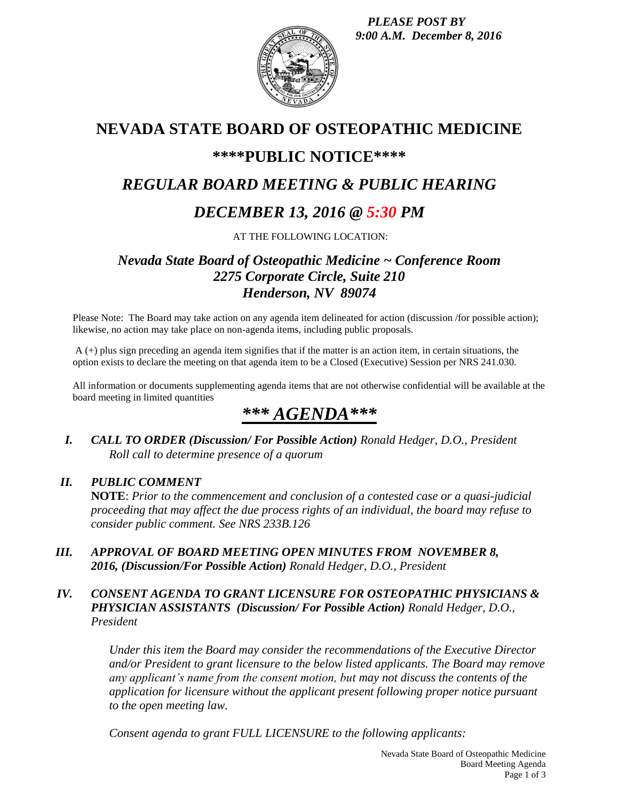*PLEASE POST BY 9:00 A.M. December 8, 2016*



# **NEVADA STATE BOARD OF OSTEOPATHIC MEDICINE**

## **\*\*\*\*PUBLIC NOTICE\*\*\*\***

# *REGULAR BOARD MEETING & PUBLIC HEARING*

# *DECEMBER 13, 2016 @ 5:30 PM*

AT THE FOLLOWING LOCATION:

## *Nevada State Board of Osteopathic Medicine ~ Conference Room 2275 Corporate Circle, Suite 210 Henderson, NV 89074*

Please Note: The Board may take action on any agenda item delineated for action (discussion /for possible action); likewise, no action may take place on non-agenda items, including public proposals.

A (+) plus sign preceding an agenda item signifies that if the matter is an action item, in certain situations, the option exists to declare the meeting on that agenda item to be a Closed (Executive) Session per NRS 241.030.

All information or documents supplementing agenda items that are not otherwise confidential will be available at the board meeting in limited quantities

# *\*\*\* AGENDA\*\*\**

*I. CALL TO ORDER (Discussion/ For Possible Action) Ronald Hedger, D.O., President Roll call to determine presence of a quorum*

## *II. PUBLIC COMMENT*

**NOTE**: *Prior to the commencement and conclusion of a contested case or a quasi-judicial proceeding that may affect the due process rights of an individual, the board may refuse to consider public comment. See NRS 233B.126*

*III. APPROVAL OF BOARD MEETING OPEN MINUTES FROM NOVEMBER 8, 2016, (Discussion/For Possible Action) Ronald Hedger, D.O., President*

### *IV. CONSENT AGENDA TO GRANT LICENSURE FOR OSTEOPATHIC PHYSICIANS & PHYSICIAN ASSISTANTS (Discussion/ For Possible Action) Ronald Hedger, D.O., President*

*Under this item the Board may consider the recommendations of the Executive Director and/or President to grant licensure to the below listed applicants. The Board may remove any applicant's name from the consent motion, but may not discuss the contents of the application for licensure without the applicant present following proper notice pursuant to the open meeting law.* 

*Consent agenda to grant FULL LICENSURE to the following applicants:*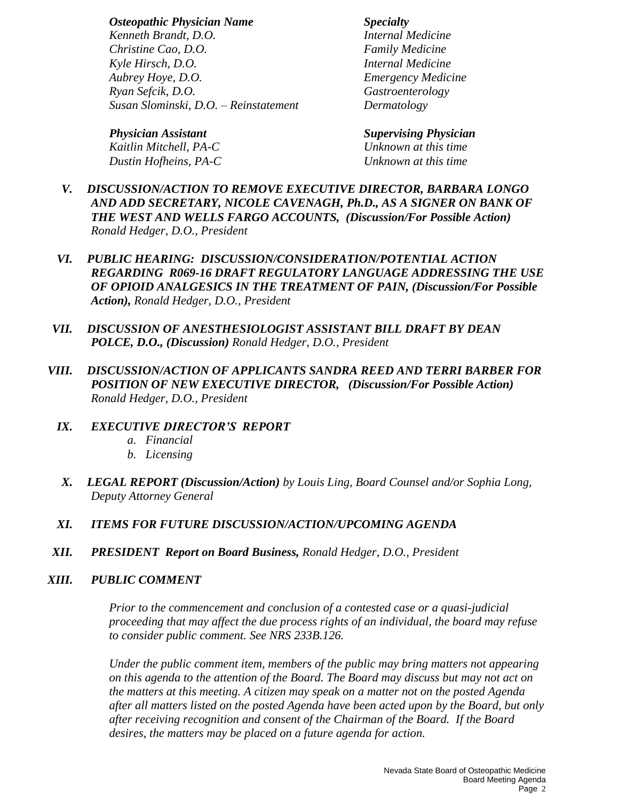*Osteopathic Physician Name Specialty Kenneth Brandt, D.O. Internal Medicine Christine Cao, D.O. Family Medicine Kyle Hirsch, D.O. Internal Medicine Aubrey Hoye, D.O. Emergency Medicine Ryan Sefcik, D.O. Gastroenterology Susan Slominski, D.O. – Reinstatement Dermatology*

*Physician Assistant Supervising Physician Kaitlin Mitchell, PA-C Unknown at this time Dustin Hofheins, PA-C Unknown at this time*

- *V. DISCUSSION/ACTION TO REMOVE EXECUTIVE DIRECTOR, BARBARA LONGO AND ADD SECRETARY, NICOLE CAVENAGH, Ph.D., AS A SIGNER ON BANK OF THE WEST AND WELLS FARGO ACCOUNTS, (Discussion/For Possible Action) Ronald Hedger, D.O., President*
- *VI. PUBLIC HEARING: DISCUSSION/CONSIDERATION/POTENTIAL ACTION REGARDING R069-16 DRAFT REGULATORY LANGUAGE ADDRESSING THE USE OF OPIOID ANALGESICS IN THE TREATMENT OF PAIN, (Discussion/For Possible Action), Ronald Hedger, D.O., President*
- *VII. DISCUSSION OF ANESTHESIOLOGIST ASSISTANT BILL DRAFT BY DEAN POLCE, D.O., (Discussion) Ronald Hedger, D.O., President*
- *VIII. DISCUSSION/ACTION OF APPLICANTS SANDRA REED AND TERRI BARBER FOR POSITION OF NEW EXECUTIVE DIRECTOR, (Discussion/For Possible Action) Ronald Hedger, D.O., President*
	- *IX. EXECUTIVE DIRECTOR'S REPORT*
		- *a. Financial*
		- *b. Licensing*
	- *X. LEGAL REPORT (Discussion/Action) by Louis Ling, Board Counsel and/or Sophia Long, Deputy Attorney General*
	- *XI. ITEMS FOR FUTURE DISCUSSION/ACTION/UPCOMING AGENDA*
- *XII. PRESIDENT Report on Board Business, Ronald Hedger, D.O., President*

#### *XIII. PUBLIC COMMENT*

*Prior to the commencement and conclusion of a contested case or a quasi-judicial proceeding that may affect the due process rights of an individual, the board may refuse to consider public comment. See NRS 233B.126.*

*Under the public comment item, members of the public may bring matters not appearing on this agenda to the attention of the Board. The Board may discuss but may not act on the matters at this meeting. A citizen may speak on a matter not on the posted Agenda after all matters listed on the posted Agenda have been acted upon by the Board, but only after receiving recognition and consent of the Chairman of the Board. If the Board desires, the matters may be placed on a future agenda for action.*